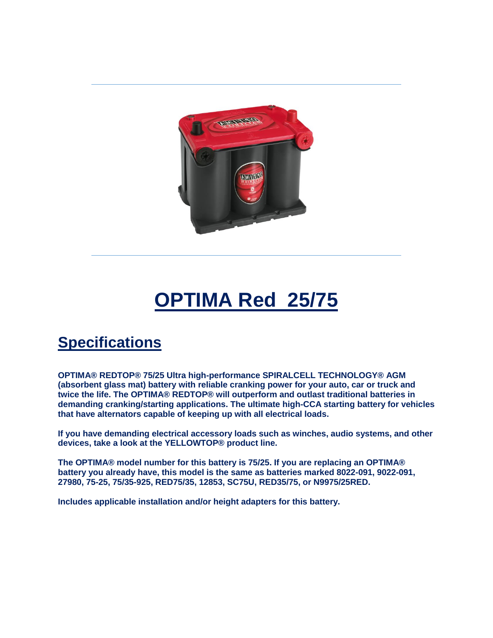

## **OPTIMA Red 25/75**

## **Specifications**

**OPTIMA® REDTOP® 75/25 Ultra high-performance SPIRALCELL TECHNOLOGY® AGM (absorbent glass mat) battery with reliable cranking power for your auto, car or truck and twice the life. The OPTIMA® REDTOP® will outperform and outlast traditional batteries in demanding cranking/starting applications. The ultimate high-CCA starting battery for vehicles that have alternators capable of keeping up with all electrical loads.**

**If you have demanding electrical accessory loads such as winches, audio systems, and other devices, take a look at the YELLOWTOP® product line.**

**The OPTIMA® model number for this battery is 75/25. If you are replacing an OPTIMA® battery you already have, this model is the same as batteries marked 8022-091, 9022-091, 27980, 75-25, 75/35-925, RED75/35, 12853, SC75U, RED35/75, or N9975/25RED.**

**Includes applicable installation and/or height adapters for this battery.**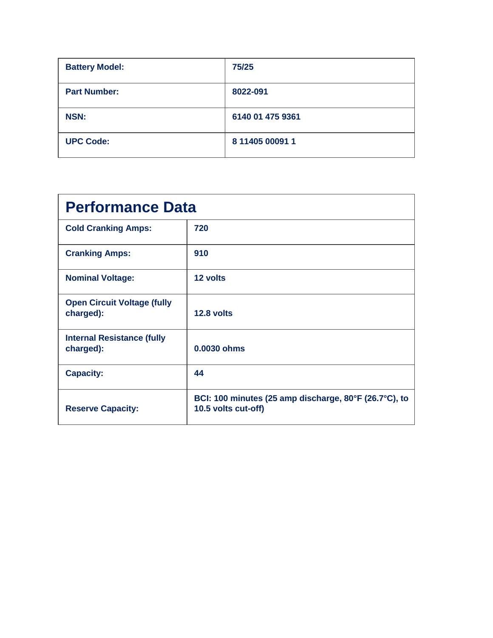| <b>Battery Model:</b> | 75/25            |
|-----------------------|------------------|
| <b>Part Number:</b>   | 8022-091         |
| <b>NSN:</b>           | 6140 01 475 9361 |
| <b>UPC Code:</b>      | 8 11405 00091 1  |

| <b>Performance Data</b>                         |                                                                              |  |
|-------------------------------------------------|------------------------------------------------------------------------------|--|
| <b>Cold Cranking Amps:</b>                      | 720                                                                          |  |
| <b>Cranking Amps:</b>                           | 910                                                                          |  |
| <b>Nominal Voltage:</b>                         | 12 volts                                                                     |  |
| <b>Open Circuit Voltage (fully</b><br>charged): | 12.8 volts                                                                   |  |
| <b>Internal Resistance (fully</b><br>charged):  | 0.0030 ohms                                                                  |  |
| <b>Capacity:</b>                                | 44                                                                           |  |
| <b>Reserve Capacity:</b>                        | BCI: 100 minutes (25 amp discharge, 80°F (26.7°C), to<br>10.5 volts cut-off) |  |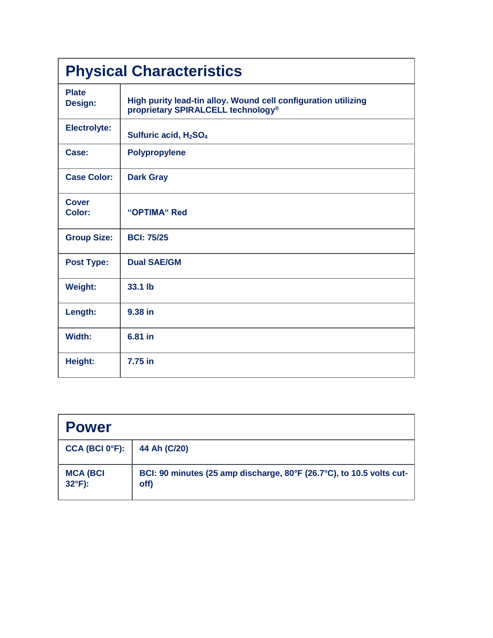| <b>Physical Characteristics</b> |                                                                                                                  |  |
|---------------------------------|------------------------------------------------------------------------------------------------------------------|--|
| <b>Plate</b><br>Design:         | High purity lead-tin alloy. Wound cell configuration utilizing<br>proprietary SPIRALCELL technology <sup>®</sup> |  |
| <b>Electrolyte:</b>             | Sulfuric acid, H <sub>2</sub> SO <sub>4</sub>                                                                    |  |
| Case:                           | <b>Polypropylene</b>                                                                                             |  |
| <b>Case Color:</b>              | <b>Dark Gray</b>                                                                                                 |  |
| <b>Cover</b><br>Color:          | "OPTIMA" Red                                                                                                     |  |
| <b>Group Size:</b>              | <b>BCI: 75/25</b>                                                                                                |  |
| <b>Post Type:</b>               | <b>Dual SAE/GM</b>                                                                                               |  |
| <b>Weight:</b>                  | 33.1 lb                                                                                                          |  |
| Length:                         | 9.38 in                                                                                                          |  |
| Width:                          | 6.81 in                                                                                                          |  |
| Height:                         | 7.75 in                                                                                                          |  |

| <b>Power</b>                       |                                                                              |
|------------------------------------|------------------------------------------------------------------------------|
| CCA (BCI 0 <sup>o</sup> F):        | 44 Ah (C/20)                                                                 |
| <b>MCA (BCI</b><br>$32^{\circ}F$ : | BCI: 90 minutes (25 amp discharge, 80°F (26.7°C), to 10.5 volts cut-<br>off) |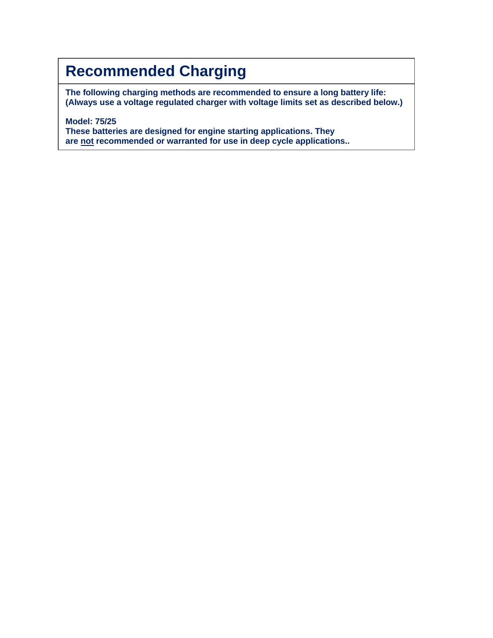## **Recommended Charging**

**The following charging methods are recommended to ensure a long battery life: (Always use a voltage regulated charger with voltage limits set as described below.)**

**Model: 75/25 These batteries are designed for engine starting applications. They are not recommended or warranted for use in deep cycle applications..**